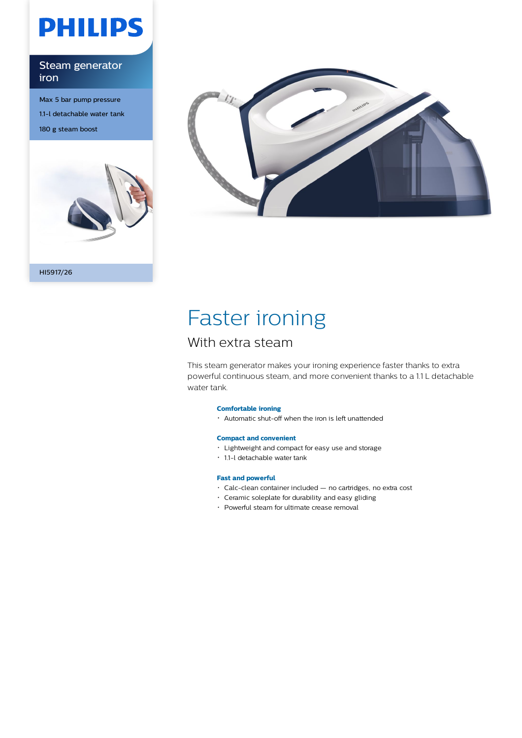# **PHILIPS**

### Steam generator iron

Max 5 bar pump pressure 1.1-l detachable water tank 180 g steam boost





# Faster ironing

## With extra steam

This steam generator makes your ironing experience faster thanks to extra powerful continuous steam, and more convenient thanks to a 1.1 L detachable water tank.

#### **Comfortable ironing**

Automatic shut-off when the iron is left unattended

#### **Compact and convenient**

- Lightweight and compact for easy use and storage
- 1.1-l detachable water tank

#### **Fast and powerful**

- Calc-clean container included no cartridges, no extra cost
- Ceramic soleplate for durability and easy gliding
- Powerful steam for ultimate crease removal